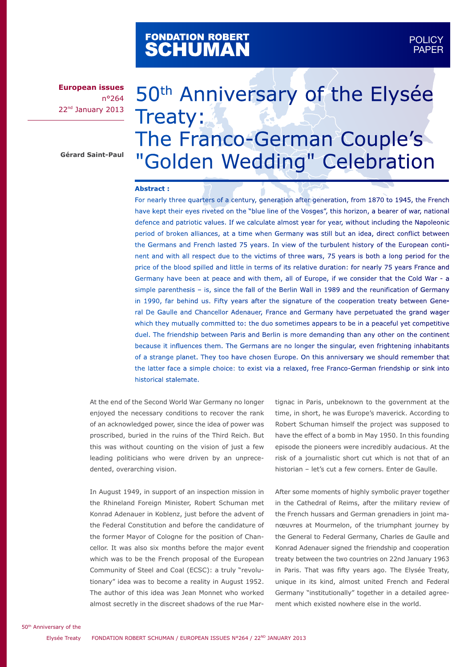# FONDATION ROBERT<br>**SCHUMAN**

**European issues** n°264 22<sup>nd</sup> January 2013

**Gérard Saint-Paul**

# 50<sup>th</sup> Anniversary of the Elysée Treaty: The Franco-German Couple's "Golden Wedding" Celebration

#### **Abstract :**

For nearly three quarters of a century, generation after generation, from 1870 to 1945, the French have kept their eyes riveted on the "blue line of the Vosges", this horizon, a bearer of war, national defence and patriotic values. If we calculate almost year for year, without including the Napoleonic period of broken alliances, at a time when Germany was still but an idea, direct conflict between the Germans and French lasted 75 years. In view of the turbulent history of the European continent and with all respect due to the victims of three wars, 75 years is both a long period for the price of the blood spilled and little in terms of its relative duration: for nearly 75 years France and Germany have been at peace and with them, all of Europe, if we consider that the Cold War - a simple parenthesis – is, since the fall of the Berlin Wall in 1989 and the reunification of Germany in 1990, far behind us. Fifty years after the signature of the cooperation treaty between General De Gaulle and Chancellor Adenauer, France and Germany have perpetuated the grand wager which they mutually committed to: the duo sometimes appears to be in a peaceful yet competitive duel. The friendship between Paris and Berlin is more demanding than any other on the continent because it influences them. The Germans are no longer the singular, even frightening inhabitants of a strange planet. They too have chosen Europe. On this anniversary we should remember that the latter face a simple choice: to exist via a relaxed, free Franco-German friendship or sink into historical stalemate.

At the end of the Second World War Germany no longer enjoyed the necessary conditions to recover the rank of an acknowledged power, since the idea of power was proscribed, buried in the ruins of the Third Reich. But this was without counting on the vision of just a few leading politicians who were driven by an unprecedented, overarching vision.

In August 1949, in support of an inspection mission in the Rhineland Foreign Minister, Robert Schuman met Konrad Adenauer in Koblenz, just before the advent of the Federal Constitution and before the candidature of the former Mayor of Cologne for the position of Chancellor. It was also six months before the major event which was to be the French proposal of the European Community of Steel and Coal (ECSC): a truly "revolutionary" idea was to become a reality in August 1952. The author of this idea was Jean Monnet who worked almost secretly in the discreet shadows of the rue Martignac in Paris, unbeknown to the government at the time, in short, he was Europe's maverick. According to Robert Schuman himself the project was supposed to have the effect of a bomb in May 1950. In this founding episode the pioneers were incredibly audacious. At the risk of a journalistic short cut which is not that of an historian – let's cut a few corners. Enter de Gaulle.

After some moments of highly symbolic prayer together in the Cathedral of Reims, after the military review of the French hussars and German grenadiers in joint manœuvres at Mourmelon, of the triumphant journey by the General to Federal Germany, Charles de Gaulle and Konrad Adenauer signed the friendship and cooperation treaty between the two countries on 22nd January 1963 in Paris. That was fifty years ago. The Elysée Treaty, unique in its kind, almost united French and Federal Germany "institutionally" together in a detailed agreement which existed nowhere else in the world.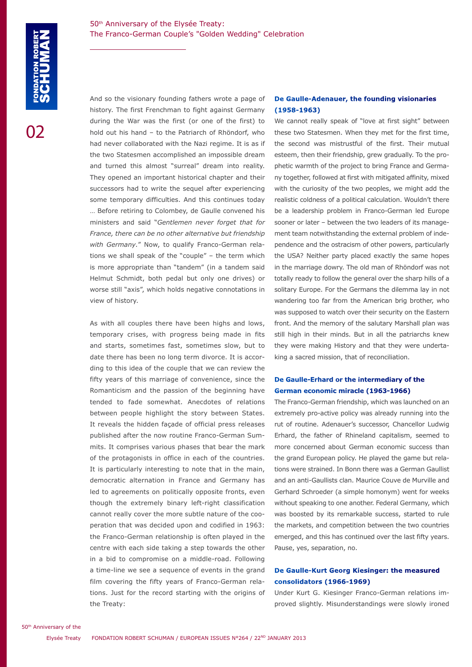በ2

And so the visionary founding fathers wrote a page of history. The first Frenchman to fight against Germany during the War was the first (or one of the first) to hold out his hand – to the Patriarch of Rhöndorf, who had never collaborated with the Nazi regime. It is as if the two Statesmen accomplished an impossible dream and turned this almost "surreal" dream into reality. They opened an important historical chapter and their successors had to write the sequel after experiencing some temporary difficulties. And this continues today … Before retiring to Colombey, de Gaulle convened his ministers and said "*Gentlemen never forget that for France, there can be no other alternative but friendship with Germany.*" Now, to qualify Franco-German relations we shall speak of the "couple" – the term which is more appropriate than "tandem" (in a tandem said Helmut Schmidt, both pedal but only one drives) or worse still "axis", which holds negative connotations in view of history.

As with all couples there have been highs and lows, temporary crises, with progress being made in fits and starts, sometimes fast, sometimes slow, but to date there has been no long term divorce. It is according to this idea of the couple that we can review the fifty years of this marriage of convenience, since the Romanticism and the passion of the beginning have tended to fade somewhat. Anecdotes of relations between people highlight the story between States. It reveals the hidden façade of official press releases published after the now routine Franco-German Summits. It comprises various phases that bear the mark of the protagonists in office in each of the countries. It is particularly interesting to note that in the main, democratic alternation in France and Germany has led to agreements on politically opposite fronts, even though the extremely binary left-right classification cannot really cover the more subtle nature of the cooperation that was decided upon and codified in 1963: the Franco-German relationship is often played in the centre with each side taking a step towards the other in a bid to compromise on a middle-road. Following a time-line we see a sequence of events in the grand film covering the fifty years of Franco-German relations. Just for the record starting with the origins of the Treaty:

# **De Gaulle-Adenauer, the founding visionaries (1958-1963)**

We cannot really speak of "love at first sight" between these two Statesmen. When they met for the first time, the second was mistrustful of the first. Their mutual esteem, then their friendship, grew gradually. To the prophetic warmth of the project to bring France and Germany together, followed at first with mitigated affinity, mixed with the curiosity of the two peoples, we might add the realistic coldness of a political calculation. Wouldn't there be a leadership problem in Franco-German led Europe sooner or later – between the two leaders of its management team notwithstanding the external problem of independence and the ostracism of other powers, particularly the USA? Neither party placed exactly the same hopes in the marriage dowry. The old man of Rhöndorf was not totally ready to follow the general over the sharp hills of a solitary Europe. For the Germans the dilemma lay in not wandering too far from the American brig brother, who was supposed to watch over their security on the Eastern front. And the memory of the salutary Marshall plan was still high in their minds. But in all the patriarchs knew they were making History and that they were undertaking a sacred mission, that of reconciliation.

#### **De Gaulle-Erhard or the intermediary of the German economic miracle (1963-1966)**

The Franco-German friendship, which was launched on an extremely pro-active policy was already running into the rut of routine. Adenauer's successor, Chancellor Ludwig Erhard, the father of Rhineland capitalism, seemed to more concerned about German economic success than the grand European policy. He played the game but relations were strained. In Bonn there was a German Gaullist and an anti-Gaullists clan. Maurice Couve de Murville and Gerhard Schroeder (a simple homonym) went for weeks without speaking to one another. Federal Germany, which was boosted by its remarkable success, started to rule the markets, and competition between the two countries emerged, and this has continued over the last fifty years. Pause, yes, separation, no.

# **De Gaulle-Kurt Georg Kiesinger: the measured consolidators (1966-1969)**

Under Kurt G. Kiesinger Franco-German relations improved slightly. Misunderstandings were slowly ironed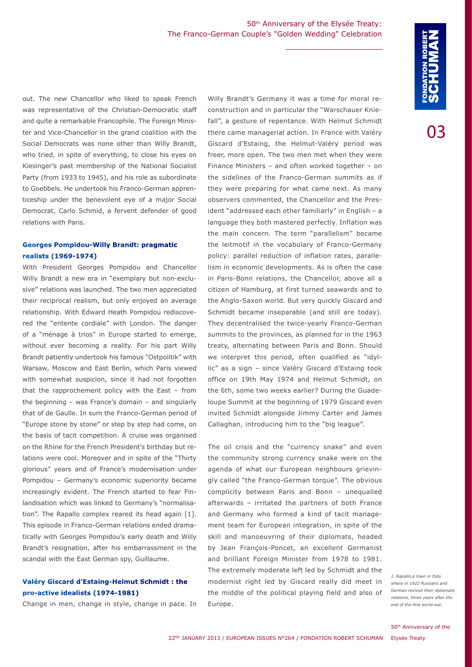out. The new Chancellor who liked to speak French was representative of the Christian-Democratic staff and quite a remarkable Francophile. The Foreign Minister and Vice-Chancellor in the grand coalition with the Social Democrats was none other than Willy Brandt, who tried, in spite of everything, to close his eyes on Kiesinger's past membership of the National Socialist Party (from 1933 to 1945), and his role as subordinate to Goebbels. He undertook his Franco-German apprenticeship under the benevolent eye of a major Social Democrat, Carlo Schmid, a fervent defender of good relations with Paris.

#### **Georges Pompidou-Willy Brandt: pragmatic realists (1969-1974)**

With President Georges Pompidou and Chancellor Willy Brandt a new era in "exemplary but non-exclusive" relations was launched. The two men appreciated their reciprocal realism, but only enjoyed an average relationship. With Edward Heath Pompidou rediscovered the "entente cordiale" with London. The danger of a "ménage à trios" in Europe started to emerge, without ever becoming a reality. For his part Willy Brandt patiently undertook his famous "Ostpolitik" with Warsaw, Moscow and East Berlin, which Paris viewed with somewhat suspicion, since it had not forgotten that the rapprochement policy with the East – from the beginning – was France's domain – and singularly that of de Gaulle. In sum the Franco-German period of "Europe stone by stone" or step by step had come, on the basis of tacit competition. A cruise was organised on the Rhine for the French President's birthday but relations were cool. Moreover and in spite of the "Thirty glorious" years and of France's modernisation under Pompidou – Germany's economic superiority became increasingly evident. The French started to fear Finlandisation which was linked to Germany's "normalisation". The Rapallo complex reared its head again [1]. This episode in Franco-German relations ended dramatically with Georges Pompidou's early death and Willy Brandt's resignation, after his embarrassment in the scandal with the East German spy, Guillaume.

#### **Valéry Giscard d'Estaing-Helmut Schmidt : the pro-active idealists (1974-1981)**

Change in men, change in style, change in pace. In

Willy Brandt's Germany it was a time for moral reconstruction and in particular the "Warschauer Kniefall", a gesture of repentance. With Helmut Schmidt there came managerial action. In France with Valéry Giscard d'Estaing, the Helmut-Valéry period was freer, more open. The two men met when they were Finance Ministers – and often worked together – on the sidelines of the Franco-German summits as if they were preparing for what came next. As many observers commented, the Chancellor and the President "addressed each other familiarly" in English – a language they both mastered perfectly. Inflation was the main concern. The term "parallelism" became the leitmotif in the vocabulary of Franco-Germany policy: parallel reduction of inflation rates, parallelism in economic developments. As is often the case in Paris-Bonn relations, the Chancellor, above all a citizen of Hamburg, at first turned seawards and to the Anglo-Saxon world. But very quickly Giscard and Schmidt became inseparable (and still are today). They decentralised the twice-yearly Franco-German summits to the provinces, as planned for in the 1963 treaty, alternating between Paris and Bonn. Should we interpret this period, often qualified as "idyllic" as a sign – since Valéry Giscard d'Estaing took office on 19th May 1974 and Helmut Schmidt, on the 6th, some two weeks earlier? During the Guadeloupe Summit at the beginning of 1979 Giscard even invited Schmidt alongside Jimmy Carter and James Callaghan, introducing him to the "big league".

The oil crisis and the "currency snake" and even the community strong currency snake were on the agenda of what our European neighbours grievingly called "the Franco-German torque". The obvious complicity between Paris and Bonn – unequalled afterwards – irritated the partners of both France and Germany who formed a kind of tacit management team for European integration, in spite of the skill and manoeuvring of their diplomats, headed by Jean François-Poncet, an excellent Germanist and brilliant Foreign Minister from 1978 to 1981. The extremely moderate left led by Schmidt and the modernist right led by Giscard really did meet in the middle of the political playing field and also of Europe.

*1. Rapallo,a town in Italy where in 1922 Russians and German revived their diplomatic relations, three years after the end of the first world war.*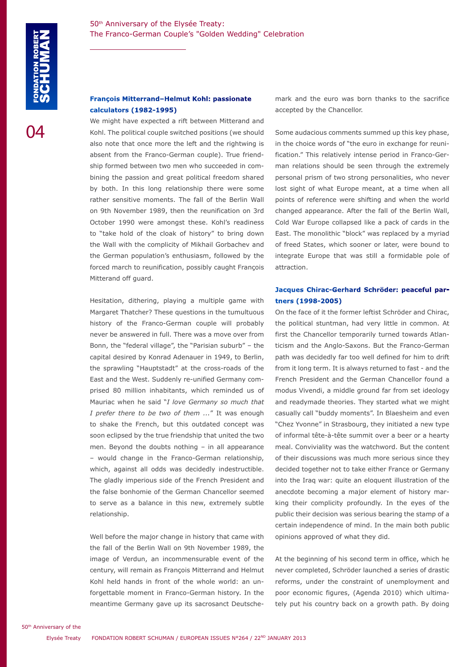#### **François Mitterrand–Helmut Kohl: passionate calculators (1982-1995)**

We might have expected a rift between Mitterand and Kohl. The political couple switched positions (we should also note that once more the left and the rightwing is absent from the Franco-German couple). True friendship formed between two men who succeeded in combining the passion and great political freedom shared by both. In this long relationship there were some rather sensitive moments. The fall of the Berlin Wall on 9th November 1989, then the reunification on 3rd October 1990 were amongst these. Kohl's readiness to "take hold of the cloak of history" to bring down the Wall with the complicity of Mikhail Gorbachev and the German population's enthusiasm, followed by the forced march to reunification, possibly caught François Mitterand off guard.

Hesitation, dithering, playing a multiple game with Margaret Thatcher? These questions in the tumultuous history of the Franco-German couple will probably never be answered in full. There was a move over from Bonn, the "federal village", the "Parisian suburb" – the capital desired by Konrad Adenauer in 1949, to Berlin, the sprawling "Hauptstadt" at the cross-roads of the East and the West. Suddenly re-unified Germany comprised 80 million inhabitants, which reminded us of Mauriac when he said "*I love Germany so much that I prefer there to be two of them ...*" It was enough to shake the French, but this outdated concept was soon eclipsed by the true friendship that united the two men. Beyond the doubts nothing – in all appearance – would change in the Franco-German relationship, which, against all odds was decidedly indestructible. The gladly imperious side of the French President and the false bonhomie of the German Chancellor seemed to serve as a balance in this new, extremely subtle relationship.

Well before the major change in history that came with the fall of the Berlin Wall on 9th November 1989, the image of Verdun, an incommensurable event of the century, will remain as François Mitterrand and Helmut Kohl held hands in front of the whole world: an unforgettable moment in Franco-German history. In the meantime Germany gave up its sacrosanct Deutschemark and the euro was born thanks to the sacrifice accepted by the Chancellor.

Some audacious comments summed up this key phase, in the choice words of "the euro in exchange for reunification." This relatively intense period in Franco-German relations should be seen through the extremely personal prism of two strong personalities, who never lost sight of what Europe meant, at a time when all points of reference were shifting and when the world changed appearance. After the fall of the Berlin Wall, Cold War Europe collapsed like a pack of cards in the East. The monolithic "block" was replaced by a myriad of freed States, which sooner or later, were bound to integrate Europe that was still a formidable pole of attraction.

# **Jacques Chirac-Gerhard Schröder: peaceful partners (1998-2005)**

On the face of it the former leftist Schröder and Chirac, the political stuntman, had very little in common. At first the Chancellor temporarily turned towards Atlanticism and the Anglo-Saxons. But the Franco-German path was decidedly far too well defined for him to drift from it long term. It is always returned to fast - and the French President and the German Chancellor found a modus Vivendi, a middle ground far from set ideology and readymade theories. They started what we might casually call "buddy moments". In Blaesheim and even "Chez Yvonne" in Strasbourg, they initiated a new type of informal tête-à-tête summit over a beer or a hearty meal. Conviviality was the watchword. But the content of their discussions was much more serious since they decided together not to take either France or Germany into the Iraq war: quite an eloquent illustration of the anecdote becoming a major element of history marking their complicity profoundly. In the eyes of the public their decision was serious bearing the stamp of a certain independence of mind. In the main both public opinions approved of what they did.

At the beginning of his second term in office, which he never completed, Schröder launched a series of drastic reforms, under the constraint of unemployment and poor economic figures, (Agenda 2010) which ultimately put his country back on a growth path. By doing

50th Anniversary of the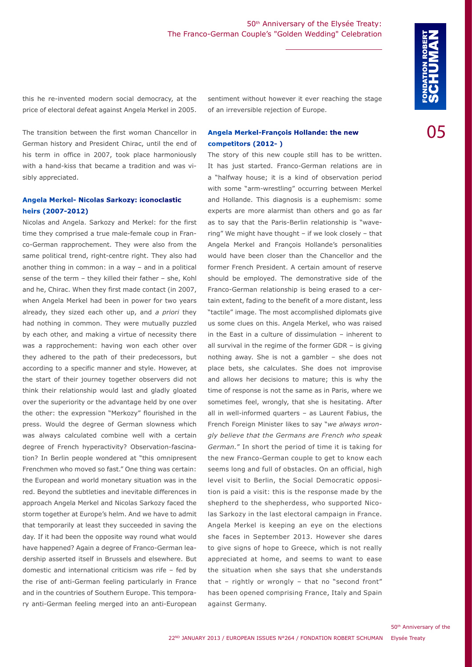this he re-invented modern social democracy, at the price of electoral defeat against Angela Merkel in 2005.

The transition between the first woman Chancellor in German history and President Chirac, until the end of his term in office in 2007, took place harmoniously with a hand-kiss that became a tradition and was visibly appreciated.

#### **Angela Merkel- Nicolas Sarkozy: iconoclastic heirs (2007-2012)**

Nicolas and Angela. Sarkozy and Merkel: for the first time they comprised a true male-female coup in Franco-German rapprochement. They were also from the same political trend, right-centre right. They also had another thing in common: in a way – and in a political sense of the term – they killed their father – she, Kohl and he, Chirac. When they first made contact (in 2007, when Angela Merkel had been in power for two years already, they sized each other up, and *a priori* they had nothing in common. They were mutually puzzled by each other, and making a virtue of necessity there was a rapprochement: having won each other over they adhered to the path of their predecessors, but according to a specific manner and style. However, at the start of their journey together observers did not think their relationship would last and gladly gloated over the superiority or the advantage held by one over the other: the expression "Merkozy" flourished in the press. Would the degree of German slowness which was always calculated combine well with a certain degree of French hyperactivity? Observation-fascination? In Berlin people wondered at "this omnipresent Frenchmen who moved so fast." One thing was certain: the European and world monetary situation was in the red. Beyond the subtleties and inevitable differences in approach Angela Merkel and Nicolas Sarkozy faced the storm together at Europe's helm. And we have to admit that temporarily at least they succeeded in saving the day. If it had been the opposite way round what would have happened? Again a degree of Franco-German leadership asserted itself in Brussels and elsewhere. But domestic and international criticism was rife – fed by the rise of anti-German feeling particularly in France and in the countries of Southern Europe. This temporary anti-German feeling merged into an anti-European

sentiment without however it ever reaching the stage of an irreversible rejection of Europe.

# **Angela Merkel-François Hollande: the new competitors (2012- )**

The story of this new couple still has to be written. It has just started. Franco-German relations are in a "halfway house; it is a kind of observation period with some "arm-wrestling" occurring between Merkel and Hollande. This diagnosis is a euphemism: some experts are more alarmist than others and go as far as to say that the Paris-Berlin relationship is "wavering" We might have thought – if we look closely – that Angela Merkel and François Hollande's personalities would have been closer than the Chancellor and the former French President. A certain amount of reserve should be employed. The demonstrative side of the Franco-German relationship is being erased to a certain extent, fading to the benefit of a more distant, less "tactile" image. The most accomplished diplomats give us some clues on this. Angela Merkel, who was raised in the East in a culture of dissimulation – inherent to all survival in the regime of the former GDR – is giving nothing away. She is not a gambler – she does not place bets, she calculates. She does not improvise and allows her decisions to mature; this is why the time of response is not the same as in Paris, where we sometimes feel, wrongly, that she is hesitating. After all in well-informed quarters – as Laurent Fabius, the French Foreign Minister likes to say "*we always wrongly believe that the Germans are French who speak German.*" In short the period of time it is taking for the new Franco-German couple to get to know each seems long and full of obstacles. On an official, high level visit to Berlin, the Social Democratic opposition is paid a visit: this is the response made by the shepherd to the shepherdess, who supported Nicolas Sarkozy in the last electoral campaign in France. Angela Merkel is keeping an eye on the elections she faces in September 2013. However she dares to give signs of hope to Greece, which is not really appreciated at home, and seems to want to ease the situation when she says that she understands that – rightly or wrongly – that no "second front" has been opened comprising France, Italy and Spain against Germany.